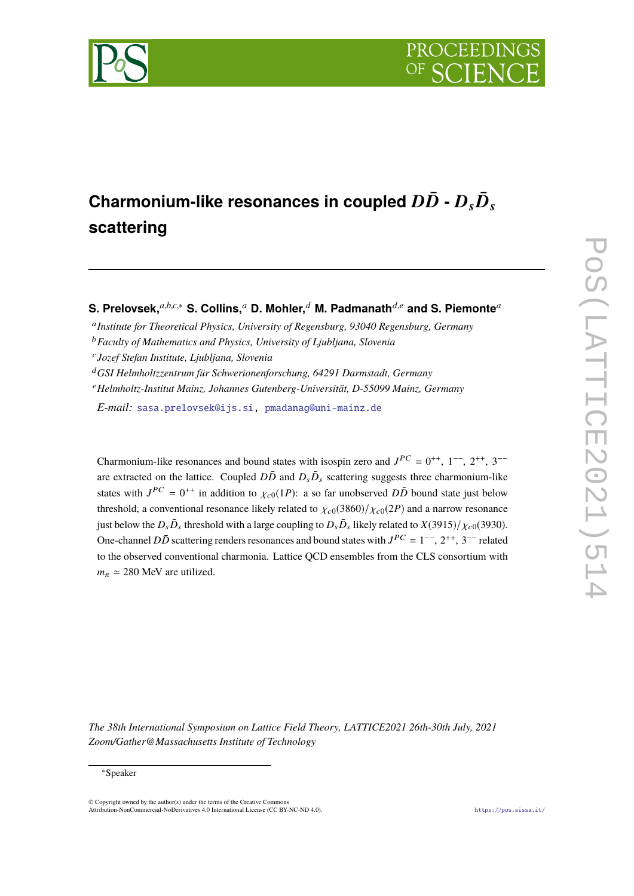

# Charmonium-like resonances in coupled  $D\bar{D}$  -  $D_{\scriptscriptstyle S} \bar{D}_{\scriptscriptstyle S}$ **scattering**

**S. Prelovsek,***a*,*b*,*c*,<sup>∗</sup> **S. Collins,***<sup>a</sup>* **D. Mohler,***<sup>d</sup>* **M. Padmanath***d*,*<sup>e</sup>* **and S. Piemonte***<sup>a</sup>*

- a *Institute for Theoretical Physics, University of Regensburg, 93040 Regensburg, Germany*
- <sup>b</sup>*Faculty of Mathematics and Physics, University of Ljubljana, Slovenia*

- <sup>d</sup>*GSI Helmholtzzentrum für Schwerionenforschung, 64291 Darmstadt, Germany*
- <sup>e</sup>*Helmholtz-Institut Mainz, Johannes Gutenberg-Universität, D-55099 Mainz, Germany*

*E-mail:* [sasa.prelovsek@ijs.si,](mailto:sasa.prelovsek@ijs.si) [pmadanag@uni-mainz.de](mailto:pmadanag@uni-mainz.de)

Charmonium-like resonances and bound states with isospin zero and  $J^{PC} = 0^{++}$ ,  $1^{--}$ ,  $2^{++}$ ,  $3^{--}$ are extracted on the lattice. Coupled  $D\bar{D}$  and  $D_s\bar{D}_s$  scattering suggests three charmonium-like states with  $J^{PC} = 0^{++}$  in addition to  $\chi_{c0}(1P)$ : a so far unobserved  $D\bar{D}$  bound state just below threshold, a conventional resonance likely related to  $\chi_{c0}(3860)/\chi_{c0}(2P)$  and a narrow resonance just below the  $D_s \bar{D}_s$  threshold with a large coupling to  $D_s \bar{D}_s$  likely related to  $X(3915)/\chi_{c0}(3930)$ . One-channel *DD* scattering renders resonances and bound states with  $J^{PC} = 1^{-}$ ,  $2^{++}$ ,  $3^{--}$  related to the observed conventional charmonia. Lattice QCD ensembles from the CLS consortium with  $m_{\pi} \simeq 280$  MeV are utilized.

POS(LATTICE2021)51 PoS(LATTICE2021)514

حل

*The 38th International Symposium on Lattice Field Theory, LATTICE2021 26th-30th July, 2021 Zoom/Gather@Massachusetts Institute of Technology*

#### <sup>∗</sup>Speaker

© Copyright owned by the author(s) under the terms of the Creative Commons Attribution-NonCommercial-NoDerivatives 4.0 International License (CC BY-NC-ND 4.0). <https://pos.sissa.it/>

c *Jozef Stefan Institute, Ljubljana, Slovenia*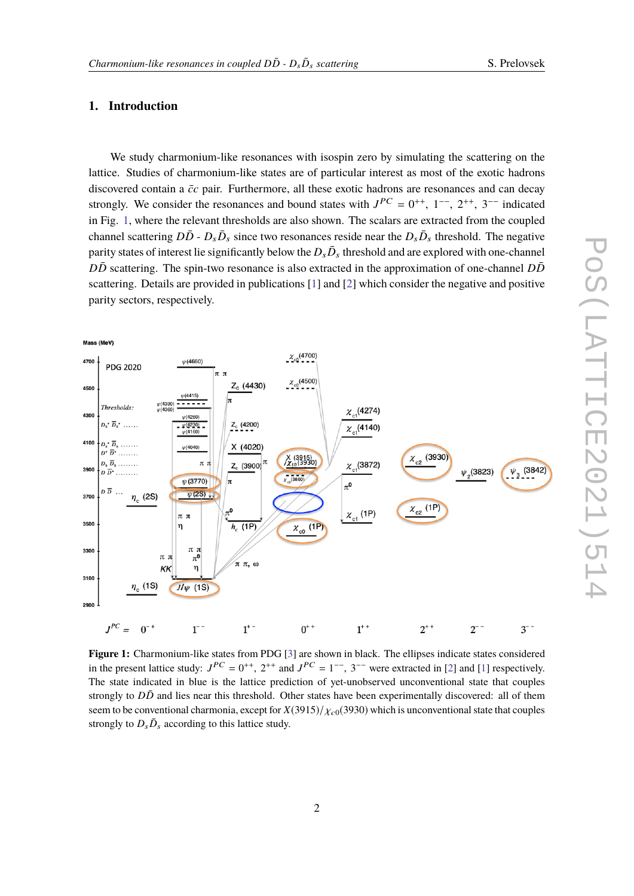#### S. Prelovsek

### **1. Introduction**

We study charmonium-like resonances with isospin zero by simulating the scattering on the lattice. Studies of charmonium-like states are of particular interest as most of the exotic hadrons discovered contain a  $\bar{c}c$  pair. Furthermore, all these exotic hadrons are resonances and can decay strongly. We consider the resonances and bound states with  $J^{PC} = 0^{++}$ ,  $1^{--}$ ,  $2^{++}$ ,  $3^{--}$  indicated<br>in Fig. 1, where the relayent thresholds are also shown. The seeker are autrested from the sexuals in Fig. [1,](#page-1-0) where the relevant thresholds are also shown. The scalars are extracted from the coupled channel scattering  $D\bar{D}$  -  $D_s\bar{D}_s$  since two resonances reside near the  $D_s\bar{D}_s$  threshold. The negative parity states of interest lie significantly below the  $D_{s}\bar{D}_{s}$  threshold and are explored with one-channel  $D\bar{D}$  scattering. The spin-two resonance is also extracted in the approximation of one-channel  $D\bar{D}$ scattering. Details are provided in publications [\[1\]](#page-8-0) and [\[2\]](#page-8-1) which consider the negative and positive parity sectors, respectively.

<span id="page-1-0"></span>

**Figure 1:** Charmonium-like states from PDG [\[3\]](#page-8-2) are shown in black. The ellipses indicate states considered in the present lattice study:  $J^{PC} = 0^{++}$ ,  $2^{++}$  and  $J^{PC} = 1^{--}$ ,  $3^{--}$  were extracted in [\[2\]](#page-8-1) and [\[1\]](#page-8-0) respectively. The state indicated in blue is the lattice prediction of yet-unobserved unconventional state that couples strongly to  $D\bar{D}$  and lies near this threshold. Other states have been experimentally discovered: all of them seem to be conventional charmonia, except for  $X(3915)/\chi_{c0}(3930)$  which is unconventional state that couples strongly to  $D_s\bar{D}_s$  according to this lattice study.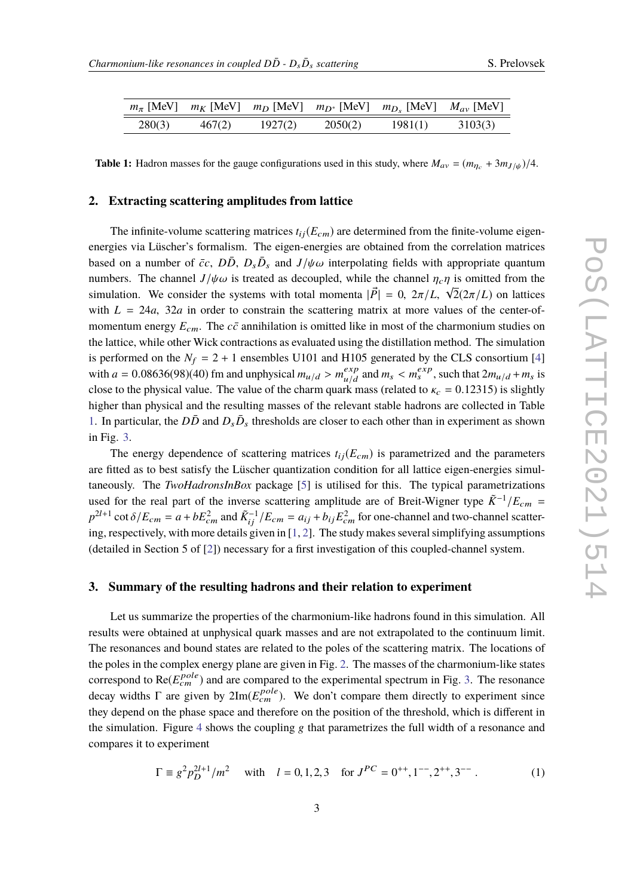<span id="page-2-0"></span>

|        |        |         |         | $m_{\pi}$ [MeV] $m_K$ [MeV] $m_D$ [MeV] $m_{D^*}$ [MeV] $m_{D_s}$ [MeV] $M_{av}$ [MeV] |         |
|--------|--------|---------|---------|----------------------------------------------------------------------------------------|---------|
| 280(3) | 467(2) | 1927(2) | 2050(2) | 1981(1)                                                                                | 3103(3) |

**Table 1:** Hadron masses for the gauge configurations used in this study, where  $M_{av} = (m_{\eta_c} + 3m_{J/\psi})/4$ .

#### **2. Extracting scattering amplitudes from lattice**

The infinite-volume scattering matrices  $t_{ij}(E_{cm})$  are determined from the finite-volume eigenenergies via Lüscher's formalism. The eigen-energies are obtained from the correlation matrices based on a number of  $\bar{c}c$ ,  $D\bar{D}$ ,  $D_s\bar{D}_s$  and  $J/\psi\omega$  interpolating fields with appropriate quantum<br>numbers. The shannal *Julius* is tracted as described while the shannal n is emitted from the numbers. The channel  $J/\psi \omega$  is treated as decoupled, while the channel  $\eta_c \eta$  is omitted from the simulation. We consider the systems with total momenta  $|\vec{p}| = 0$ ,  $2\pi / L \sqrt{2}(2\pi/L)$  on lattices simulation. We consider the systems with total momenta  $|\vec{P}| = 0$ ,  $2\pi/L$ ,  $\sqrt{2}(2\pi/L)$  on lattices with  $L = 24a$ ,  $32a$  in order to constrain the scattering matrix at more values of the center-ofmomentum energy  $E_{cm}$ . The  $c\bar{c}$  annihilation is omitted like in most of the charmonium studies on the lattice, while other Wick contractions as evaluated using the distillation method. The simulation is performed on the  $N_f = 2 + 1$  ensembles U101 and H105 generated by the CLS consortium [\[4\]](#page-8-3) with  $a = 0.08636(98)(40)$  fm and unphysical  $m_{u/d} > m_{u/d}^{exp}$ <br>also to the physical value. The value of the above guardian  $\frac{exp}{u/d}$  and  $m_s < m_s^{exp}$ , such that  $2m_{u/d} + m_s$  is close to the physical value. The value of the charm quark mass (related to  $\kappa_c = 0.12315$ ) is slightly higher than physical and the resulting masses of the relevant stable hadrons are collected in Table [1.](#page-2-0) In particular, the  $D\bar{D}$  and  $D_s\bar{D}_s$  thresholds are closer to each other than in experiment as shown in Fig. [3.](#page-4-0)

The energy dependence of scattering matrices  $t_{ij}(E_{cm})$  is parametrized and the parameters are fitted as to best satisfy the Lüscher quantization condition for all lattice eigen-energies simultaneously. The *TwoHadronsInBox* package [\[5\]](#page-8-4) is utilised for this. The typical parametrizations used for the real part of the inverse scattering amplitude are of Breit-Wigner type  $K^{-1}/E_{cm}$  =  $p^{2l+1}$  cot  $\delta/E_{cm} = a + bE_{cm}^2$  and  $\tilde{K}_{ij}^{-1}/E_{cm} = a_{ij} + b_{ij}E_{cm}^2$  for one-channel and two-channel scatter-<br>in a reconstitutive with more datails situation in [1, 2]. The study makes several simplifying assumptions ing, respectively, with more details given in [\[1,](#page-8-0) [2\]](#page-8-1). The study makes several simplifying assumptions (detailed in Section 5 of [\[2\]](#page-8-1)) necessary for a first investigation of this coupled-channel system.

### **3. Summary of the resulting hadrons and their relation to experiment**

Let us summarize the properties of the charmonium-like hadrons found in this simulation. All results were obtained at unphysical quark masses and are not extrapolated to the continuum limit. The resonances and bound states are related to the poles of the scattering matrix. The locations of the poles in the complex energy plane are given in Fig. [2.](#page-3-0) The masses of the charmonium-like states correspond to  $Re(E_{cm}^{pole})$  and are compared to the experimental spectrum in Fig. [3.](#page-4-0) The resonance decay widths  $\Gamma$  are given by  $2\text{Im}(E_{cm}^{pole})$ . We don't compare them directly to experiment since they depend on the phase space and therefore on the position of the threshold, which is different in the simulation. Figure [4](#page-5-0) shows the coupling g that parametrizes the full width of a resonance and compares it to experiment

<span id="page-2-1"></span>
$$
\Gamma \equiv g^2 p_D^{2l+1} / m^2 \quad \text{with} \quad l = 0, 1, 2, 3 \quad \text{for } J^{PC} = 0^{++}, 1^{--}, 2^{++}, 3^{--} \tag{1}
$$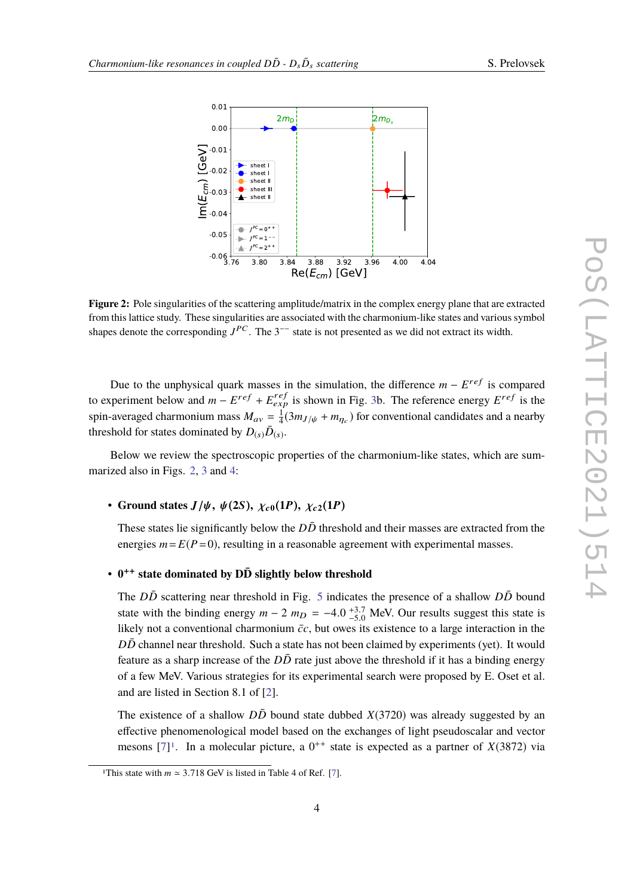<span id="page-3-0"></span>

**Figure 2:** Pole singularities of the scattering amplitude/matrix in the complex energy plane that are extracted from this lattice study. These singularities are associated with the charmonium-like states and various symbol shapes denote the corresponding  $J^{PC}$ . The 3<sup>--</sup> state is not presented as we did not extract its width.

Due to the unphysical quark masses in the simulation, the difference *m* − *E*<sup>ref</sup> is compared to experiment below and  $m - E^{ref} + E^{ref}_{exp}$  is shown in Fig. [3b](#page-4-0). The reference energy  $E^{ref}$  is the spin-averaged charmonium mass  $M_{av} = \frac{1}{4}$  $\frac{1}{4}(3m_{J/\psi} + m_{\eta_c})$  for conventional candidates and a nearby threshold for states dominated by  $D_{(s)}\bar{D}_{(s)}$ .

Below we review the spectroscopic properties of the charmonium-like states, which are summarized also in Figs. [2,](#page-3-0) [3](#page-4-0) and [4:](#page-5-0)

### • **Ground states**  $J/\psi$ ,  $\psi$ (2S),  $\chi$ <sub>c0</sub>(1P),  $\chi$ <sub>c2</sub>(1P)

These states lie significantly below the  $D\bar{D}$  threshold and their masses are extracted from the energies  $m = E(P=0)$ , resulting in a reasonable agreement with experimental masses.

## • **0** ++ **state dominated by DD¯ slightly below threshold**

The  $D\bar{D}$  scattering near threshold in Fig. [5](#page-5-1) indicates the presence of a shallow  $D\bar{D}$  bound state with the binding energy  $m - 2$   $m_D = -4.0^{+3.7}_{-5.0}$  MeV. Our results suggest this state is<br>likely not a conventional charmonium  $\bar{e}c$ , but over its existence to a large interaction in the likely not a conventional charmonium  $\bar{c}c$ , but owes its existence to a large interaction in the *DD* channel near threshold. Such a state has not been claimed by experiments (yet). It would feature as a sharp increase of the  $D\bar{D}$  rate just above the threshold if it has a binding energy of a few MeV. Various strategies for its experimental search were proposed by E. Oset et al. and are listed in Section 8.1 of [\[2\]](#page-8-1).

The existence of a shallow  $D\bar{D}$  bound state dubbed *X*(3720) was already suggested by an effective phenomenological model based on the exchanges of light pseudoscalar and vector mesons  $[7]^1$  $[7]^1$  $[7]^1$ . In a molecular picture, a  $0^{++}$  state is expected as a partner of *X*(3872) via

<span id="page-3-1"></span><sup>&</sup>lt;sup>1</sup>This state with  $m \approx 3.718$  GeV is listed in Table 4 of Ref. [\[7\]](#page-8-5).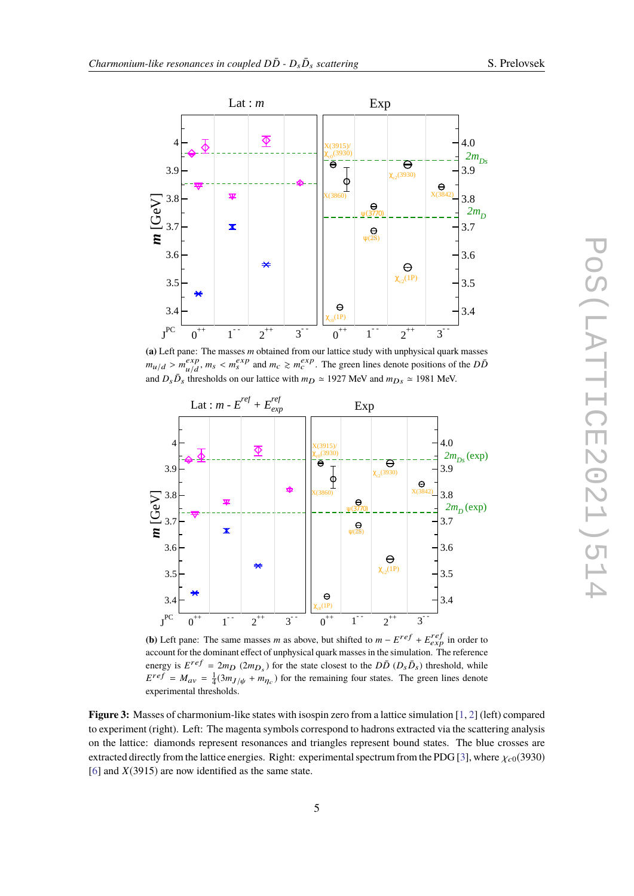

<span id="page-4-0"></span>

**(a)** Left pane: The masses *m* obtained from our lattice study with unphysical quark masses  $m_{u/d} > m_{u/d}^{exp}$  $\frac{exp}{\mu/d}$ ,  $m_s < m_s^{exp}$  and  $m_c \ge m_c^{exp}$ . The green lines denote positions of the *DD*<sup> $\bar{D}$ </sup> and  $D_s \bar{D}_s$  thresholds on our lattice with  $m_D \approx 1927$  MeV and  $m_{Ds} \approx 1981$  MeV.



**(b)** Left pane: The same masses *m* as above, but shifted to  $m - E^{ref} + E_{exp}^{ref}$  in order to account for the dominant effect of unphysical quark masses in the simulation. The reference energy is  $E^{ref} = 2m_D (2m_{D_s})$  for the state closest to the  $D\bar{D} (D_s \bar{D}_s)$  threshold, while  $E^{ref} = M_{av} = \frac{1}{4}(3m_J/\psi + m_{Tc})$  for the remaining four states. The green lines denote experimental thresholds.

**Figure 3:** Masses of charmonium-like states with isospin zero from a lattice simulation [\[1,](#page-8-0) [2\]](#page-8-1) (left) compared to experiment (right). Left: The magenta symbols correspond to hadrons extracted via the scattering analysis on the lattice: diamonds represent resonances and triangles represent bound states. The blue crosses are extracted directly from the lattice energies. Right: experimental spectrum from the PDG [\[3\]](#page-8-2), where  $\chi_{c0}(3930)$ [\[6\]](#page-8-6) and *X*(3915) are now identified as the same state.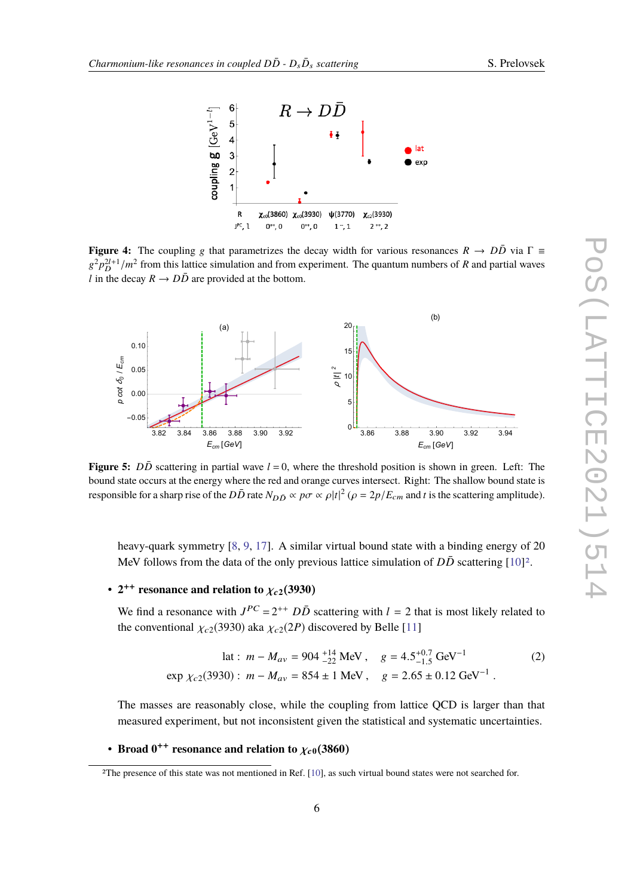<span id="page-5-0"></span>

**Figure 4:** The coupling g that parametrizes the decay width for various resonances  $R \rightarrow D\bar{D}$  via  $\Gamma \equiv$  $g^2 p_D^{2l+1}/m^2$  from this lattice simulation and from experiment. The quantum numbers of *R* and partial waves *l* in the decay  $R \rightarrow D\bar{D}$  are provided at the bottom.

<span id="page-5-1"></span>

**Figure 5:** *DD* scattering in partial wave  $l = 0$ , where the threshold position is shown in green. Left: The bound state occurs at the energy where the red and orange curves intersect. Right: The shallow bound state is responsible for a sharp rise of the  $D\bar{D}$  rate  $N_{D\bar{D}} \propto p\sigma \propto \rho |t|^2$  ( $\rho = 2p/E_{cm}$  and *t* is the scattering amplitude).

heavy-quark symmetry [\[8,](#page-8-7) [9,](#page-8-8) [17\]](#page-8-9). A similar virtual bound state with a binding energy of 20 MeV follows from the data of the only previous lattice simulation of  $D\bar{D}$  scattering  $[10]^2$  $[10]^2$  $[10]^2$ .

# •  $2^{++}$  resonance and relation to  $\chi_{c2}(3930)$

We find a resonance with  $J^{PC} = 2^{++}$   $D\bar{D}$  scattering with  $l = 2$  that is most likely related to the conventional  $\chi_{c2}(3930)$  aka  $\chi_{c2}(2P)$  discovered by Belle [\[11\]](#page-8-11)

$$
\begin{aligned}\n\text{lat}: \ m - M_{av} &= 904 \, \frac{^{+14}}{^{22}} \, \text{MeV} \,, \quad g = 4.5 \, \frac{^{+0.7}}{^{1.5}} \, \text{GeV}^{-1} \\
\text{exp} \ \chi_{c2}(3930): \ m - M_{av} &= 854 \pm 1 \, \text{MeV} \,, \quad g = 2.65 \pm 0.12 \, \text{GeV}^{-1} \,. \n\end{aligned} \tag{2}
$$

The masses are reasonably close, while the coupling from lattice QCD is larger than that measured experiment, but not inconsistent given the statistical and systematic uncertainties.

# • **Broad**  $0^{++}$  **resonance and relation to**  $\chi_{c0}(3860)$

<span id="page-5-2"></span><sup>2</sup>The presence of this state was not mentioned in Ref. [\[10\]](#page-8-10), as such virtual bound states were not searched for.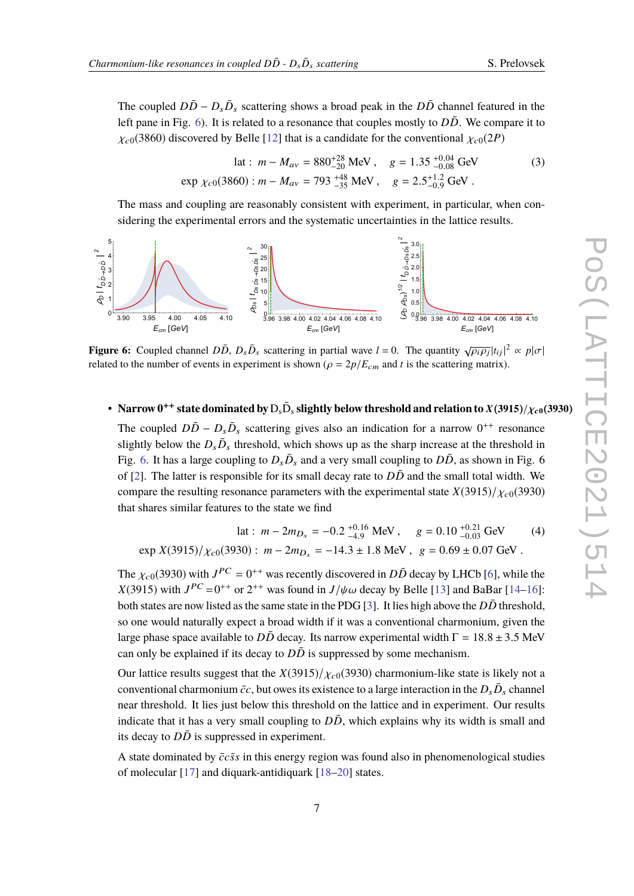The coupled  $D\bar{D} - D_s\bar{D}_s$  scattering shows a broad peak in the  $D\bar{D}$  channel featured in the left pane in Fig. [6\)](#page-6-0). It is related to a resonance that couples mostly to  $D\bar{D}$ . We compare it to  $\chi_{c0}(3860)$  discovered by Belle [\[12\]](#page-8-12) that is a candidate for the conventional  $\chi_{c0}(2P)$ 

$$
\begin{aligned}\n\text{lat}: \ m - M_{av} &= 880^{+28}_{-20} \text{ MeV}, \quad g = 1.35^{+0.04}_{-0.08} \text{ GeV} \\
\text{exp } \chi_{c0}(3860): \ m - M_{av} &= 793^{+48}_{-35} \text{ MeV}, \quad g = 2.5^{+1.2}_{-0.9} \text{ GeV} \,. \n\end{aligned} \tag{3}
$$

The mass and coupling are reasonably consistent with experiment, in particular, when considering the experimental errors and the systematic uncertainties in the lattice results.

<span id="page-6-0"></span>

**Figure 6:** Coupled channel  $D\overline{D}$ ,  $D_s\overline{D}_s$  scattering in partial wave  $l = 0$ . The quantity  $\sqrt{\rho_i \rho_j} |t_{ij}|^2 \propto p |\sigma|$ <br>related to the number of quants in experiment is shown  $(a - 2\pi/E)$ , and t is the sectering metrix related to the number of events in experiment is shown ( $\rho = 2p/E<sub>cm</sub>$  and *t* is the scattering matrix).

# • **Narrow**  $0^{++}$  state dominated by  $D_s \bar{D}_s$  slightly below threshold and relation to  $X(3915)/\chi_{c0}(3930)$

The coupled  $D\bar{D} - D_s\bar{D}_s$  scattering gives also an indication for a narrow  $0^{++}$  resonance slightly below the  $D_s\bar{D}_s$  threshold, which shows up as the sharp increase at the threshold in Fig. [6.](#page-6-0) It has a large coupling to  $D_s\bar{D}_s$  and a very small coupling to  $D\bar{D}$ , as shown in Fig. 6 of [\[2\]](#page-8-1). The latter is responsible for its small decay rate to  $D\bar{D}$  and the small total width. We compare the resulting resonance parameters with the experimental state  $X(3915)/X_{c0}(3930)$ that shares similar features to the state we find

$$
\begin{aligned} \n\text{lat}: \ m - 2m_{D_s} &= -0.2 \, \, \substack{+0.16 \\ -4.9} \, \text{MeV}, \quad g = 0.10 \, \substack{+0.21 \\ -0.03} \, \text{GeV} \tag{4} \\
\text{exp } X(3915) / \chi_{c0}(3930): \ m - 2m_{D_s} &= -14.3 \pm 1.8 \, \text{MeV}, \ g = 0.69 \pm 0.07 \, \text{GeV} \,. \n\end{aligned}
$$

The  $\chi_{c0}(3930)$  with  $J^{PC} = 0^{++}$  was recently discovered in  $D\bar{D}$  decay by LHCb [\[6\]](#page-8-6), while the  $V(2015)$  with  $J^{PC} = 0^{++}$  and  $2^{++}$  was found in  $J/\psi$  decay by Palla [12] and PaPar [14, 16] *X*(3915) with  $J^{PC} = 0^{++}$  or  $2^{++}$  was found in  $J/\psi \omega$  decay by Belle [\[13\]](#page-8-13) and BaBar [\[14](#page-8-14)[–16\]](#page-8-15):<br>heth states are now listed as the same state in the PDC [21]. It lies high above the *D*. D threshold both states are now listed as the same state in the PDG [\[3\]](#page-8-2). It lies high above the  $D\bar{D}$  threshold, so one would naturally expect a broad width if it was a conventional charmonium, given the large phase space available to  $D\overline{D}$  decay. Its narrow experimental width  $\Gamma = 18.8 \pm 3.5$  MeV can only be explained if its decay to  $D\bar{D}$  is suppressed by some mechanism.

Our lattice results suggest that the  $X(3915)/X_{c0}(3930)$  charmonium-like state is likely not a conventional charmonium  $\bar{c}c$ , but owes its existence to a large interaction in the  $D_{s}\bar{D}_{s}$  channel near threshold. It lies just below this threshold on the lattice and in experiment. Our results indicate that it has a very small coupling to  $D\overline{D}$ , which explains why its width is small and its decay to  $D\bar{D}$  is suppressed in experiment.

A state dominated by  $\bar{c}c\bar{s}s$  in this energy region was found also in phenomenological studies of molecular [\[17\]](#page-8-9) and diquark-antidiquark [\[18–](#page-8-16)[20\]](#page-8-17) states.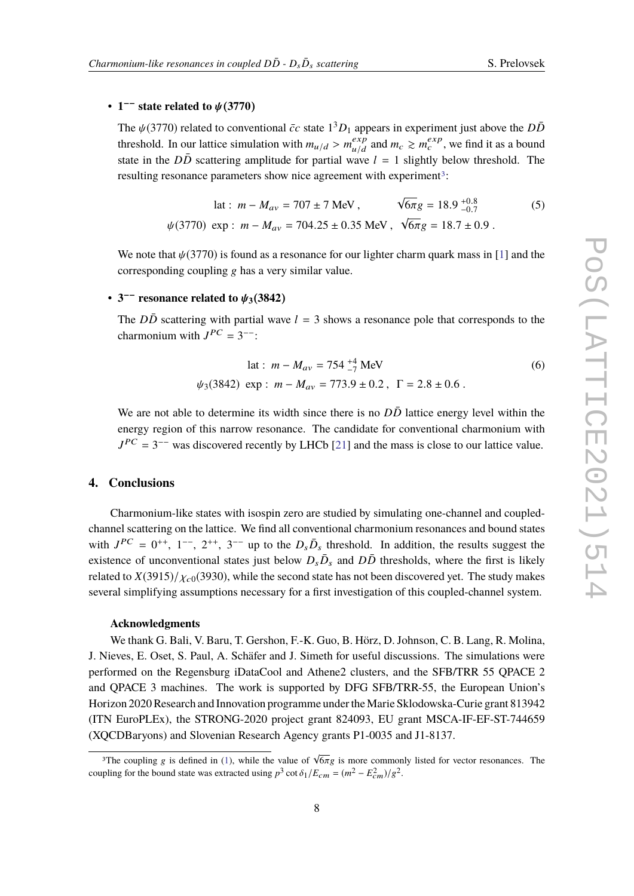# • **1** −− **state related to** ψ(**3770**)

The  $\psi(3770)$  related to conventional  $\bar{c}c$  state  $1^3D_1$  appears in experiment just above the  $D\bar{D}$ <br>threshold Jp our lettice simulation with  $m \to \mu^{exp}$  and  $m \to m^{exp}$  we find it as a hound threshold. In our lattice simulation with  $m_{u/d} > m_{u/d}^{exp}$ <br>state in the  $D\bar{D}$  sections explitude for pertial way  $\int_{u/d}^{exp}$  and  $m_c \ge m_c^{exp}$ , we find it as a bound state in the  $D\overline{D}$  scattering amplitude for partial wave  $l = 1$  slightly below threshold. The resulting resonance parameters show nice agreement with experiment<sup>[3](#page-7-0)</sup>:

$$
\begin{aligned}\n\text{lat}: \ m - M_{av} &= 707 \pm 7 \text{ MeV}, & \sqrt{6\pi}g &= 18.9 \, {}^{+0.8}_{-0.7} \\
\psi(3770) \, \text{exp}: \ m - M_{av} &= 704.25 \pm 0.35 \text{ MeV}, & \sqrt{6\pi}g &= 18.7 \pm 0.9 \,. \n\end{aligned} \tag{5}
$$

We note that  $\psi(3770)$  is found as a resonance for our lighter charm quark mass in [\[1\]](#page-8-0) and the corresponding coupling g has a very similar value.

# $\bullet$  3<sup>−−</sup> resonance related to  $\psi_3$ (3842)

The  $D\overline{D}$  scattering with partial wave  $l = 3$  shows a resonance pole that corresponds to the charmonium with  $J^{PC} = 3^{--}$ :

$$
\begin{aligned} \text{lat}: \ m - M_{av} &= 754 \, \frac{+4}{-7} \, \text{MeV} \\ \psi_3(3842) \, \text{ exp}: \ m - M_{av} &= 773.9 \pm 0.2 \, , \ \ \Gamma = 2.8 \pm 0.6 \, . \end{aligned} \tag{6}
$$

We are not able to determine its width since there is no  $D\overline{D}$  lattice energy level within the energy region of this narrow resonance. The candidate for conventional charmonium with  $J^{PC} = 3^{--}$  was discovered recently by LHCb [\[21\]](#page-8-18) and the mass is close to our lattice value.

### **4. Conclusions**

Charmonium-like states with isospin zero are studied by simulating one-channel and coupledchannel scattering on the lattice. We find all conventional charmonium resonances and bound states with  $J^{PC} = 0^{++}$ ,  $1^{--}$ ,  $2^{++}$ ,  $3^{--}$  up to the  $D_s\bar{D}_s$  threshold. In addition, the results suggest the existence of unconventional states just helow  $D_s\bar{D}_s$  and  $D_s\bar{D}_s$  thresholds, where the first is likely existence of unconventional states just below  $D_s\bar{D}_s$  and  $D\bar{D}$  thresholds, where the first is likely related to  $X(3915)/X_{c0}(3930)$ , while the second state has not been discovered yet. The study makes several simplifying assumptions necessary for a first investigation of this coupled-channel system.

#### **Acknowledgments**

We thank G. Bali, V. Baru, T. Gershon, F.-K. Guo, B. Hörz, D. Johnson, C. B. Lang, R. Molina, J. Nieves, E. Oset, S. Paul, A. Schäfer and J. Simeth for useful discussions. The simulations were performed on the Regensburg iDataCool and Athene2 clusters, and the SFB/TRR 55 QPACE 2 and QPACE 3 machines. The work is supported by DFG SFB/TRR-55, the European Union's Horizon 2020 Research and Innovation programme under the Marie Sklodowska-Curie grant 813942 (ITN EuroPLEx), the STRONG-2020 project grant 824093, EU grant MSCA-IF-EF-ST-744659 (XQCDBaryons) and Slovenian Research Agency grants P1-0035 and J1-8137.

<span id="page-7-0"></span><sup>&</sup>lt;sup>3</sup>The coupling g is defined in [\(1\)](#page-2-1), while the value of  $\sqrt{6\pi}g$  is more commonly listed for vector resonances. The coupling for the bound state was extracted using  $p^3 \cot \delta_1/E_{cm} = (m^2 - E_{cm}^2)/g^2$ .